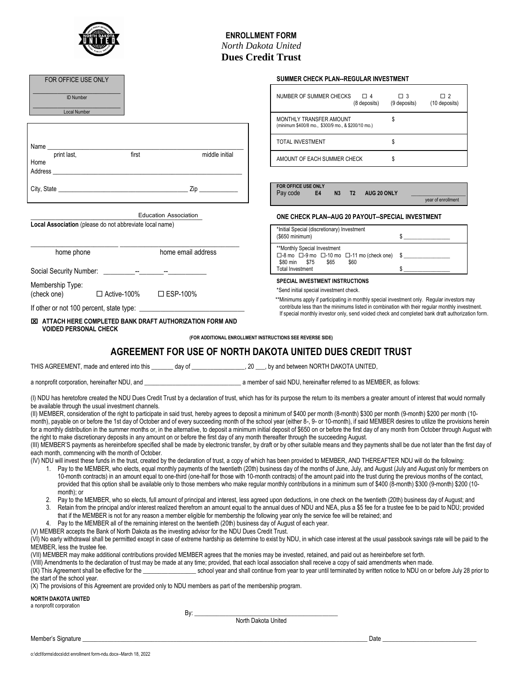

## **ENROLLMENT FORM**  *North Dakota United*  **Dues Credit Trust**

| FOR OFFICE USE ONLY                                                                                                                                                                                                                                                                                                                                                                                                                                                                                                                                                                                                                                                                                                                                                                                                                                                                                                                                                                                                                                                                                                                                                                                                                                                                                                                                                                                                                                                                                                                                                                                                                                                                                                                                                                                                                                                                                                                                                                                                                                                                                                                                                                                                                                                                                                                                                                                                                                                                                                                                                                                                                                                                                                                                                                                                                                                                                                                                                                                                                                                                                                                                                                                                                                                                                                                                                                                                                                                                        | SUMMER CHECK PLAN--REGULAR INVESTMENT                                                                                                                                                         |
|--------------------------------------------------------------------------------------------------------------------------------------------------------------------------------------------------------------------------------------------------------------------------------------------------------------------------------------------------------------------------------------------------------------------------------------------------------------------------------------------------------------------------------------------------------------------------------------------------------------------------------------------------------------------------------------------------------------------------------------------------------------------------------------------------------------------------------------------------------------------------------------------------------------------------------------------------------------------------------------------------------------------------------------------------------------------------------------------------------------------------------------------------------------------------------------------------------------------------------------------------------------------------------------------------------------------------------------------------------------------------------------------------------------------------------------------------------------------------------------------------------------------------------------------------------------------------------------------------------------------------------------------------------------------------------------------------------------------------------------------------------------------------------------------------------------------------------------------------------------------------------------------------------------------------------------------------------------------------------------------------------------------------------------------------------------------------------------------------------------------------------------------------------------------------------------------------------------------------------------------------------------------------------------------------------------------------------------------------------------------------------------------------------------------------------------------------------------------------------------------------------------------------------------------------------------------------------------------------------------------------------------------------------------------------------------------------------------------------------------------------------------------------------------------------------------------------------------------------------------------------------------------------------------------------------------------------------------------------------------------------------------------------------------------------------------------------------------------------------------------------------------------------------------------------------------------------------------------------------------------------------------------------------------------------------------------------------------------------------------------------------------------------------------------------------------------------------------------------------------------|-----------------------------------------------------------------------------------------------------------------------------------------------------------------------------------------------|
| <b>ID Number</b><br>Local Number                                                                                                                                                                                                                                                                                                                                                                                                                                                                                                                                                                                                                                                                                                                                                                                                                                                                                                                                                                                                                                                                                                                                                                                                                                                                                                                                                                                                                                                                                                                                                                                                                                                                                                                                                                                                                                                                                                                                                                                                                                                                                                                                                                                                                                                                                                                                                                                                                                                                                                                                                                                                                                                                                                                                                                                                                                                                                                                                                                                                                                                                                                                                                                                                                                                                                                                                                                                                                                                           | $\Box$ 2<br>NUMBER OF SUMMER CHECKS $\Box$ 4<br>$\Box$ 3<br>(10 deposits)<br>(8 deposits)<br>(9 deposits)                                                                                     |
|                                                                                                                                                                                                                                                                                                                                                                                                                                                                                                                                                                                                                                                                                                                                                                                                                                                                                                                                                                                                                                                                                                                                                                                                                                                                                                                                                                                                                                                                                                                                                                                                                                                                                                                                                                                                                                                                                                                                                                                                                                                                                                                                                                                                                                                                                                                                                                                                                                                                                                                                                                                                                                                                                                                                                                                                                                                                                                                                                                                                                                                                                                                                                                                                                                                                                                                                                                                                                                                                                            | \$<br>MONTHLY TRANSFER AMOUNT<br>(minimum \$400/8 mo., \$300/9 mo., & \$200/10 mo.)                                                                                                           |
| Name                                                                                                                                                                                                                                                                                                                                                                                                                                                                                                                                                                                                                                                                                                                                                                                                                                                                                                                                                                                                                                                                                                                                                                                                                                                                                                                                                                                                                                                                                                                                                                                                                                                                                                                                                                                                                                                                                                                                                                                                                                                                                                                                                                                                                                                                                                                                                                                                                                                                                                                                                                                                                                                                                                                                                                                                                                                                                                                                                                                                                                                                                                                                                                                                                                                                                                                                                                                                                                                                                       | TOTAL INVESTMENT<br>\$                                                                                                                                                                        |
| first<br>print last,<br>middle initial<br>Home<br>Address and the contract of the contract of the contract of the contract of the contract of the contract of the                                                                                                                                                                                                                                                                                                                                                                                                                                                                                                                                                                                                                                                                                                                                                                                                                                                                                                                                                                                                                                                                                                                                                                                                                                                                                                                                                                                                                                                                                                                                                                                                                                                                                                                                                                                                                                                                                                                                                                                                                                                                                                                                                                                                                                                                                                                                                                                                                                                                                                                                                                                                                                                                                                                                                                                                                                                                                                                                                                                                                                                                                                                                                                                                                                                                                                                          | \$<br>AMOUNT OF EACH SUMMER CHECK                                                                                                                                                             |
|                                                                                                                                                                                                                                                                                                                                                                                                                                                                                                                                                                                                                                                                                                                                                                                                                                                                                                                                                                                                                                                                                                                                                                                                                                                                                                                                                                                                                                                                                                                                                                                                                                                                                                                                                                                                                                                                                                                                                                                                                                                                                                                                                                                                                                                                                                                                                                                                                                                                                                                                                                                                                                                                                                                                                                                                                                                                                                                                                                                                                                                                                                                                                                                                                                                                                                                                                                                                                                                                                            | FOR OFFICE USE ONLY<br>Pay code<br>E4<br>N3 T2 AUG 20 ONLY<br>year of enrollment                                                                                                              |
| <b>Education Association</b>                                                                                                                                                                                                                                                                                                                                                                                                                                                                                                                                                                                                                                                                                                                                                                                                                                                                                                                                                                                                                                                                                                                                                                                                                                                                                                                                                                                                                                                                                                                                                                                                                                                                                                                                                                                                                                                                                                                                                                                                                                                                                                                                                                                                                                                                                                                                                                                                                                                                                                                                                                                                                                                                                                                                                                                                                                                                                                                                                                                                                                                                                                                                                                                                                                                                                                                                                                                                                                                               | ONE CHECK PLAN-AUG 20 PAYOUT-SPECIAL INVESTMENT                                                                                                                                               |
| Local Association (please do not abbreviate local name)                                                                                                                                                                                                                                                                                                                                                                                                                                                                                                                                                                                                                                                                                                                                                                                                                                                                                                                                                                                                                                                                                                                                                                                                                                                                                                                                                                                                                                                                                                                                                                                                                                                                                                                                                                                                                                                                                                                                                                                                                                                                                                                                                                                                                                                                                                                                                                                                                                                                                                                                                                                                                                                                                                                                                                                                                                                                                                                                                                                                                                                                                                                                                                                                                                                                                                                                                                                                                                    | *Initial Special (discretionary) Investment<br>(\$650 minimum)<br>\$                                                                                                                          |
| home email address<br>home phone                                                                                                                                                                                                                                                                                                                                                                                                                                                                                                                                                                                                                                                                                                                                                                                                                                                                                                                                                                                                                                                                                                                                                                                                                                                                                                                                                                                                                                                                                                                                                                                                                                                                                                                                                                                                                                                                                                                                                                                                                                                                                                                                                                                                                                                                                                                                                                                                                                                                                                                                                                                                                                                                                                                                                                                                                                                                                                                                                                                                                                                                                                                                                                                                                                                                                                                                                                                                                                                           | **Monthly Special Investment<br>$\Box$ -8 mo $\Box$ -9 mo $\Box$ -10 mo $\Box$ -11 mo (check one) $\$\underline{\hspace{1cm}}$<br>\$80 min \$75<br>\$65<br>\$60                               |
| Social Security Number: __________--____--____--_____-                                                                                                                                                                                                                                                                                                                                                                                                                                                                                                                                                                                                                                                                                                                                                                                                                                                                                                                                                                                                                                                                                                                                                                                                                                                                                                                                                                                                                                                                                                                                                                                                                                                                                                                                                                                                                                                                                                                                                                                                                                                                                                                                                                                                                                                                                                                                                                                                                                                                                                                                                                                                                                                                                                                                                                                                                                                                                                                                                                                                                                                                                                                                                                                                                                                                                                                                                                                                                                     | Total Investment<br>$\frac{1}{2}$<br>SPECIAL INVESTMENT INSTRUCTIONS                                                                                                                          |
| Membership Type:<br>(check one)<br>$\Box$ Active-100% $\Box$ ESP-100%                                                                                                                                                                                                                                                                                                                                                                                                                                                                                                                                                                                                                                                                                                                                                                                                                                                                                                                                                                                                                                                                                                                                                                                                                                                                                                                                                                                                                                                                                                                                                                                                                                                                                                                                                                                                                                                                                                                                                                                                                                                                                                                                                                                                                                                                                                                                                                                                                                                                                                                                                                                                                                                                                                                                                                                                                                                                                                                                                                                                                                                                                                                                                                                                                                                                                                                                                                                                                      | *Send initial special investment check.                                                                                                                                                       |
|                                                                                                                                                                                                                                                                                                                                                                                                                                                                                                                                                                                                                                                                                                                                                                                                                                                                                                                                                                                                                                                                                                                                                                                                                                                                                                                                                                                                                                                                                                                                                                                                                                                                                                                                                                                                                                                                                                                                                                                                                                                                                                                                                                                                                                                                                                                                                                                                                                                                                                                                                                                                                                                                                                                                                                                                                                                                                                                                                                                                                                                                                                                                                                                                                                                                                                                                                                                                                                                                                            | **Minimums apply if participating in monthly special investment only. Regular investors may<br>contribute less than the minimums listed in combination with their regular monthly investment. |
| <b>EXICO ATTACH HERE COMPLETED BANK DRAFT AUTHORIZATION FORM AND</b><br><b>VOIDED PERSONAL CHECK</b>                                                                                                                                                                                                                                                                                                                                                                                                                                                                                                                                                                                                                                                                                                                                                                                                                                                                                                                                                                                                                                                                                                                                                                                                                                                                                                                                                                                                                                                                                                                                                                                                                                                                                                                                                                                                                                                                                                                                                                                                                                                                                                                                                                                                                                                                                                                                                                                                                                                                                                                                                                                                                                                                                                                                                                                                                                                                                                                                                                                                                                                                                                                                                                                                                                                                                                                                                                                       | If special monthly investor only, send voided check and completed bank draft authorization form.                                                                                              |
| (FOR ADDITIONAL ENROLLMENT INSTRUCTIONS SEE REVERSE SIDE)                                                                                                                                                                                                                                                                                                                                                                                                                                                                                                                                                                                                                                                                                                                                                                                                                                                                                                                                                                                                                                                                                                                                                                                                                                                                                                                                                                                                                                                                                                                                                                                                                                                                                                                                                                                                                                                                                                                                                                                                                                                                                                                                                                                                                                                                                                                                                                                                                                                                                                                                                                                                                                                                                                                                                                                                                                                                                                                                                                                                                                                                                                                                                                                                                                                                                                                                                                                                                                  |                                                                                                                                                                                               |
| AGREEMENT FOR USE OF NORTH DAKOTA UNITED DUES CREDIT TRUST                                                                                                                                                                                                                                                                                                                                                                                                                                                                                                                                                                                                                                                                                                                                                                                                                                                                                                                                                                                                                                                                                                                                                                                                                                                                                                                                                                                                                                                                                                                                                                                                                                                                                                                                                                                                                                                                                                                                                                                                                                                                                                                                                                                                                                                                                                                                                                                                                                                                                                                                                                                                                                                                                                                                                                                                                                                                                                                                                                                                                                                                                                                                                                                                                                                                                                                                                                                                                                 |                                                                                                                                                                                               |
| THIS AGREEMENT, made and entered into this _______ day of _________________, 20 ___, by and between NORTH DAKOTA UNITED,                                                                                                                                                                                                                                                                                                                                                                                                                                                                                                                                                                                                                                                                                                                                                                                                                                                                                                                                                                                                                                                                                                                                                                                                                                                                                                                                                                                                                                                                                                                                                                                                                                                                                                                                                                                                                                                                                                                                                                                                                                                                                                                                                                                                                                                                                                                                                                                                                                                                                                                                                                                                                                                                                                                                                                                                                                                                                                                                                                                                                                                                                                                                                                                                                                                                                                                                                                   |                                                                                                                                                                                               |
|                                                                                                                                                                                                                                                                                                                                                                                                                                                                                                                                                                                                                                                                                                                                                                                                                                                                                                                                                                                                                                                                                                                                                                                                                                                                                                                                                                                                                                                                                                                                                                                                                                                                                                                                                                                                                                                                                                                                                                                                                                                                                                                                                                                                                                                                                                                                                                                                                                                                                                                                                                                                                                                                                                                                                                                                                                                                                                                                                                                                                                                                                                                                                                                                                                                                                                                                                                                                                                                                                            |                                                                                                                                                                                               |
| (I) NDU has heretofore created the NDU Dues Credit Trust by a declaration of trust, which has for its purpose the return to its members a greater amount of interest that would normally<br>be available through the usual investment channels.<br>(II) MEMBER, consideration of the right to participate in said trust, hereby agrees to deposit a minimum of \$400 per month (8-month) \$300 per month (9-month) \$200 per month (4-month)<br>month), payable on or before the 1st day of October and of every succeeding month of the school year (either 8-, 9- or 10-month), if said MEMBER desires to utilize the provisions herein<br>for a monthly distribution in the summer months or, in the alternative, to deposit a minimum initial deposit of \$650 on or before the first day of any month from October through August with<br>the right to make discretionary deposits in any amount on or before the first day of any month thereafter through the succeeding August.<br>(III) MEMBER'S payments as hereinbefore specified shall be made by electronic transfer, by draft or by other suitable means and they payments shall be due not later than the first day of<br>each month, commencing with the month of October.<br>(IV) NDU will invest these funds in the trust, created by the declaration of trust, a copy of which has been provided to MEMBER, AND THEREAFTER NDU will do the following:<br>1. Pay to the MEMBER, who elects, equal monthly payments of the twentieth (20th) business day of the months of June, July, and August (July and August only for members on<br>10-month contracts) in an amount equal to one-third (one-half for those with 10-month contracts) of the amount paid into the trust during the previous months of the contact,<br>provided that this option shall be available only to those members who make regular monthly contributions in a minimum sum of \$400 (8-month) \$300 (9-month) \$200 (10-<br>month); or<br>2. Pay to the MEMBER, who so elects, full amount of principal and interest, less agreed upon deductions, in one check on the twentieth (20th) business day of August; and<br>3. Retain from the principal and/or interest realized therefrom an amount equal to the annual dues of NDU and NEA, plus a \$5 fee for a trustee fee to be paid to NDU; provided<br>that if the MEMBER is not for any reason a member eligible for membership the following year only the service fee will be retained; and<br>4. Pay to the MEMBER all of the remaining interest on the twentieth (20th) business day of August of each year.<br>(V) MEMBER accepts the Bank of North Dakota as the investing advisor for the NDU Dues Credit Trust.<br>(VI) No early withdrawal shall be permitted except in case of extreme hardship as determine to exist by NDU, in which case interest at the usual passbook savings rate will be paid to the<br>MEMBER, less the trustee fee.<br>(VII) MEMBER may make additional contributions provided MEMBER agrees that the monies may be invested, retained, and paid out as hereinbefore set forth.<br>(VIII) Amendments to the declaration of trust may be made at any time; provided, that each local association shall receive a copy of said amendments when made.<br>the start of the school year.<br>(X) The provisions of this Agreement are provided only to NDU members as part of the membership program.<br><b>NORTH DAKOTA UNITED</b><br>a nonprofit corporation |                                                                                                                                                                                               |
| By: $\_\_$<br>North Dakota United                                                                                                                                                                                                                                                                                                                                                                                                                                                                                                                                                                                                                                                                                                                                                                                                                                                                                                                                                                                                                                                                                                                                                                                                                                                                                                                                                                                                                                                                                                                                                                                                                                                                                                                                                                                                                                                                                                                                                                                                                                                                                                                                                                                                                                                                                                                                                                                                                                                                                                                                                                                                                                                                                                                                                                                                                                                                                                                                                                                                                                                                                                                                                                                                                                                                                                                                                                                                                                                          |                                                                                                                                                                                               |
| Member's Signature                                                                                                                                                                                                                                                                                                                                                                                                                                                                                                                                                                                                                                                                                                                                                                                                                                                                                                                                                                                                                                                                                                                                                                                                                                                                                                                                                                                                                                                                                                                                                                                                                                                                                                                                                                                                                                                                                                                                                                                                                                                                                                                                                                                                                                                                                                                                                                                                                                                                                                                                                                                                                                                                                                                                                                                                                                                                                                                                                                                                                                                                                                                                                                                                                                                                                                                                                                                                                                                                         | Date                                                                                                                                                                                          |